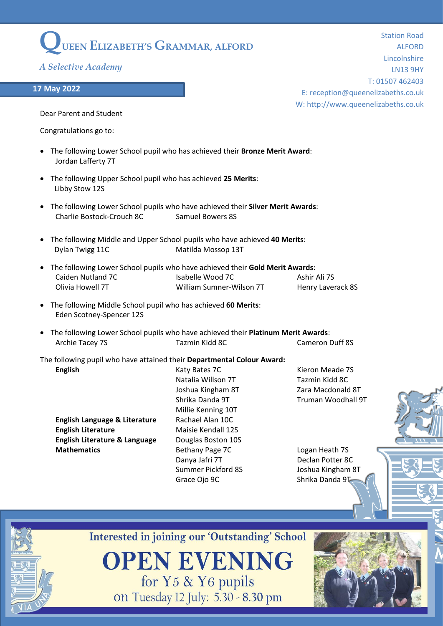## **QUEEN ELIZABETH'S GRAMMAR, ALFORD**

*A Selective Academy*

## **17 May 2022**

Station Road ALFORD Lincolnshire LN13 9HY T: 01507 462403 E: reception@queenelizabeths.co.uk W: http://www.queenelizabeths.co.uk

Dear Parent and Student

Congratulations go to:

- The following Lower School pupil who has achieved their **Bronze Merit Award**: Jordan Lafferty 7T
- The following Upper School pupil who has achieved **25 Merits**: Libby Stow 12S
- The following Lower School pupils who have achieved their **Silver Merit Awards**: Charlie Bostock-Crouch 8C Samuel Bowers 8S
- The following Middle and Upper School pupils who have achieved **40 Merits**: Dylan Twigg 11C Matilda Mossop 13T
- The following Lower School pupils who have achieved their **Gold Merit Awards**: Caiden Nutland 7C **Isabelle Wood 7C** Ashir Ali 7S Olivia Howell 7T William Sumner-Wilson 7T Henry Laverack 8S
- The following Middle School pupil who has achieved **60 Merits**: Eden Scotney-Spencer 12S
- The following Lower School pupils who have achieved their **Platinum Merit Awards**: Archie Tacey 7S Tazmin Kidd 8C Cameron Duff 8S

The following pupil who have attained their **Departmental Colour Award: English English Katy Bates 7C** Karen Kieron Meade 7S

**English Language & Literature** Rachael Alan 10C **English Literature** Maisie Kendall 12S **English Literature & Language** Douglas Boston 10S **Mathematics** Bethany Page 7C Logan Heath 7S

Natalia Willson 7T **Tazmin Kidd 8C** Joshua Kingham 8T Zara Macdonald 8T Shrika Danda 9T **Truman Woodhall 9T** Millie Kenning 10T Danya Jafri 7T Declan Potter 8C Summer Pickford 8S Joshua Kingham 8T Grace Ojo 9C Shrika Danda 9T



**Interested in joining our 'Outstanding' School** 

**OPEN EVENING** for Y5 & Y6 pupils on Tuesday 12 July: 5.30 - 8.30 pm